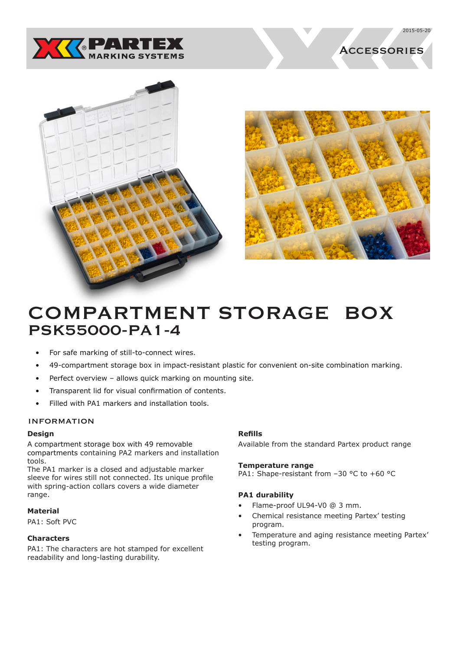

**ACCESSORIES** 







# COMPARTMENT STORAGE BOX PSK55000-PA1-4

- For safe marking of still-to-connect wires.
- 49-compartment storage box in impact-resistant plastic for convenient on-site combination marking.
- Perfect overview allows quick marking on mounting site.
- Transparent lid for visual confirmation of contents.
- Filled with PA1 markers and installation tools.

## **INFORMATION**

## **Design**

A compartment storage box with 49 removable compartments containing PA2 markers and installation tools.

The PA1 marker is a closed and adjustable marker sleeve for wires still not connected. Its unique profile with spring-action collars covers a wide diameter range.

## **Material**

PA1: Soft PVC

## **Characters**

PA1: The characters are hot stamped for excellent readability and long-lasting durability.

## **Refills**

Available from the standard Partex product range

#### **Temperature range**

PA1: Shape-resistant from -30 °C to +60 °C

## **PA1 durability**

- Flame-proof UL94-V0 @ 3 mm.
- Chemical resistance meeting Partex' testing program.
- Temperature and aging resistance meeting Partex' testing program.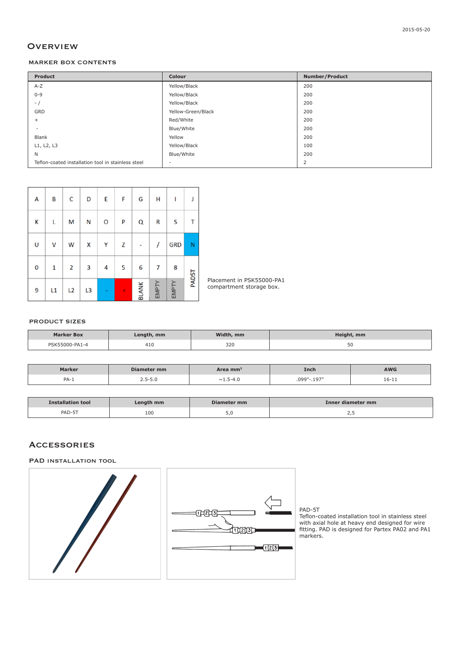# **OVERVIEW**

#### MARKER BOX CONTENTS

| Product                                            | Colour             | <b>Number/Product</b> |
|----------------------------------------------------|--------------------|-----------------------|
| $A-Z$                                              | Yellow/Black       | 200                   |
| $0 - 9$                                            | Yellow/Black       | 200                   |
| $-$ /                                              | Yellow/Black       | 200                   |
| GRD                                                | Yellow-Green/Black | 200                   |
| $+$                                                | Red/White          | 200                   |
| $\sim$                                             | Blue/White         | 200                   |
| Blank                                              | Yellow             | 200                   |
| L1, L2, L3                                         | Yellow/Black       | 100                   |
| N                                                  | Blue/White         | 200                   |
| Teflon-coated installation tool in stainless steel | $\sim$             | $\overline{2}$        |

| А | B  | с  | D  | E | F | G            | Н     | I          |       |
|---|----|----|----|---|---|--------------|-------|------------|-------|
| K | L  | M  | N  | O | P | Q            | R     | S          |       |
| U | ٧  | W  | X  | Y | z |              |       | <b>GRD</b> | N     |
| 0 | 1  | 2  | 3  | 4 | 5 | 6            | 7     | 8          |       |
| 9 | L1 | L2 | L3 |   | ÷ | <b>BLANK</b> | EMPTY | EMPTY      | PADST |

Placement in PSK55000-PA1 compartment storage box.

#### PRODUCT SIZES

| <b>Marker Box</b> | Length, mm | Width, mm | Height, mm |
|-------------------|------------|-----------|------------|
| PSK55000-PA1-4    | 410        | 320       | υc         |

| Marker | Diameter mm | Area mm²                    | Inch           | <b>AWG</b> |
|--------|-------------|-----------------------------|----------------|------------|
| $PA-1$ | 2.J-J.U     | 5-4.U<br>$\sim$ 1<br>، بيند | .197"<br>.099" | 16-11      |

| <b>Installation tool</b>  | Length mm | Diameter mm | Inner diameter mm |
|---------------------------|-----------|-------------|-------------------|
| <b>CT</b><br>PAD.<br>\D-5 | 100       | ں ر         | ت ، ے             |

# **ACCESSORIES**

PAD INSTALLATION TOOL



#### PAD-5T

Teflon-coated installation tool in stainless steel with axial hole at heavy end designed for wire fitting. PAD is designed for Partex PA02 and PA1 markers.